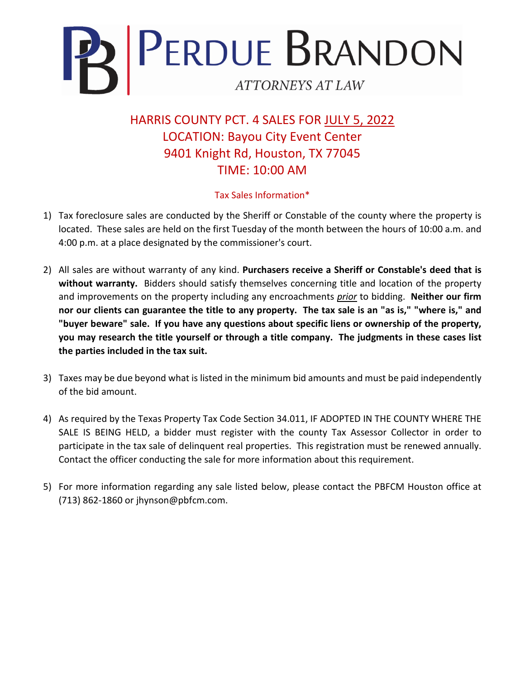

HARRIS COUNTY PCT. 4 SALES FOR JULY 5, 2022 LOCATION: Bayou City Event Center 9401 Knight Rd, Houston, TX 77045 TIME: 10:00 AM

## Tax Sales Information\*

- 1) Tax foreclosure sales are conducted by the Sheriff or Constable of the county where the property is located. These sales are held on the first Tuesday of the month between the hours of 10:00 a.m. and 4:00 p.m. at a place designated by the commissioner's court.
- 2) All sales are without warranty of any kind. **Purchasers receive a Sheriff or Constable's deed that is without warranty.** Bidders should satisfy themselves concerning title and location of the property and improvements on the property including any encroachments *prior* to bidding. **Neither our firm nor our clients can guarantee the title to any property. The tax sale is an "as is," "where is," and "buyer beware" sale. If you have any questions about specific liens or ownership of the property, you may research the title yourself or through a title company. The judgments in these cases list the parties included in the tax suit.**
- 3) Taxes may be due beyond what is listed in the minimum bid amounts and must be paid independently of the bid amount.
- 4) As required by the Texas Property Tax Code Section 34.011, IF ADOPTED IN THE COUNTY WHERE THE SALE IS BEING HELD, a bidder must register with the county Tax Assessor Collector in order to participate in the tax sale of delinquent real properties. This registration must be renewed annually. Contact the officer conducting the sale for more information about this requirement.
- 5) For more information regarding any sale listed below, please contact the PBFCM Houston office at (713) 862-1860 or jhynson@pbfcm.com.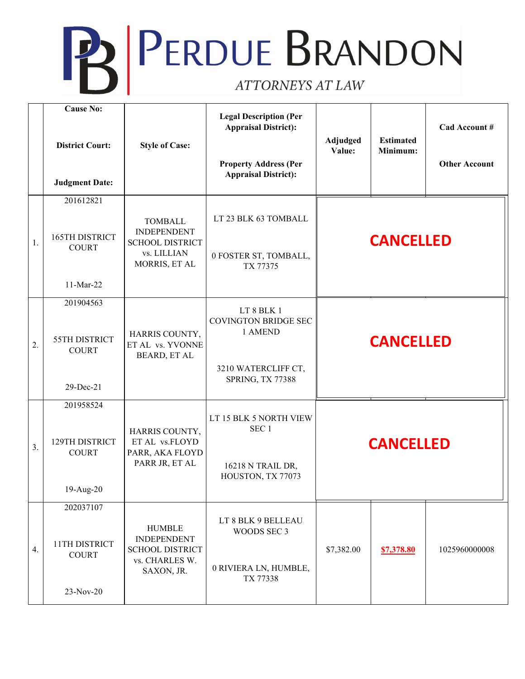## **PERDUE BRANDON** ATTORNEYS AT LAW

|                  | <b>Cause No:</b><br><b>District Court:</b><br><b>Judgment Date:</b> | <b>Style of Case:</b>                                                                          | <b>Legal Description (Per</b><br><b>Appraisal District):</b><br><b>Property Address (Per</b><br><b>Appraisal District):</b> | Adjudged<br>Value: | <b>Estimated</b><br>Minimum: | Cad Account #<br><b>Other Account</b> |
|------------------|---------------------------------------------------------------------|------------------------------------------------------------------------------------------------|-----------------------------------------------------------------------------------------------------------------------------|--------------------|------------------------------|---------------------------------------|
| 1.               | 201612821<br>165TH DISTRICT<br><b>COURT</b><br>11-Mar-22            | <b>TOMBALL</b><br><b>INDEPENDENT</b><br><b>SCHOOL DISTRICT</b><br>vs. LILLIAN<br>MORRIS, ET AL | LT 23 BLK 63 TOMBALL<br>0 FOSTER ST, TOMBALL,<br>TX 77375                                                                   | <b>CANCELLED</b>   |                              |                                       |
| $\overline{2}$ . | 201904563<br>55TH DISTRICT<br><b>COURT</b><br>$29$ -Dec-21          | HARRIS COUNTY,<br>ET AL vs. YVONNE<br><b>BEARD, ET AL</b>                                      | LT 8 BLK 1<br><b>COVINGTON BRIDGE SEC</b><br>1 AMEND<br>3210 WATERCLIFF CT,<br>SPRING, TX 77388                             | <b>CANCELLED</b>   |                              |                                       |
| $\overline{3}$ . | 201958524<br>129TH DISTRICT<br><b>COURT</b><br>19-Aug-20            | HARRIS COUNTY,<br>ET AL vs.FLOYD<br>PARR, AKA FLOYD<br>PARR JR, ET AL                          | LT 15 BLK 5 NORTH VIEW<br>SEC <sub>1</sub><br>16218 N TRAIL DR,<br>HOUSTON, TX 77073                                        | <b>CANCELLED</b>   |                              |                                       |
| 4.               | 202037107<br>11TH DISTRICT<br><b>COURT</b><br>23-Nov-20             | <b>HUMBLE</b><br><b>INDEPENDENT</b><br><b>SCHOOL DISTRICT</b><br>vs. CHARLES W.<br>SAXON, JR.  | LT 8 BLK 9 BELLEAU<br>WOODS SEC 3<br>0 RIVIERA LN, HUMBLE,<br>TX 77338                                                      | \$7,382.00         | \$7,378.80                   | 1025960000008                         |